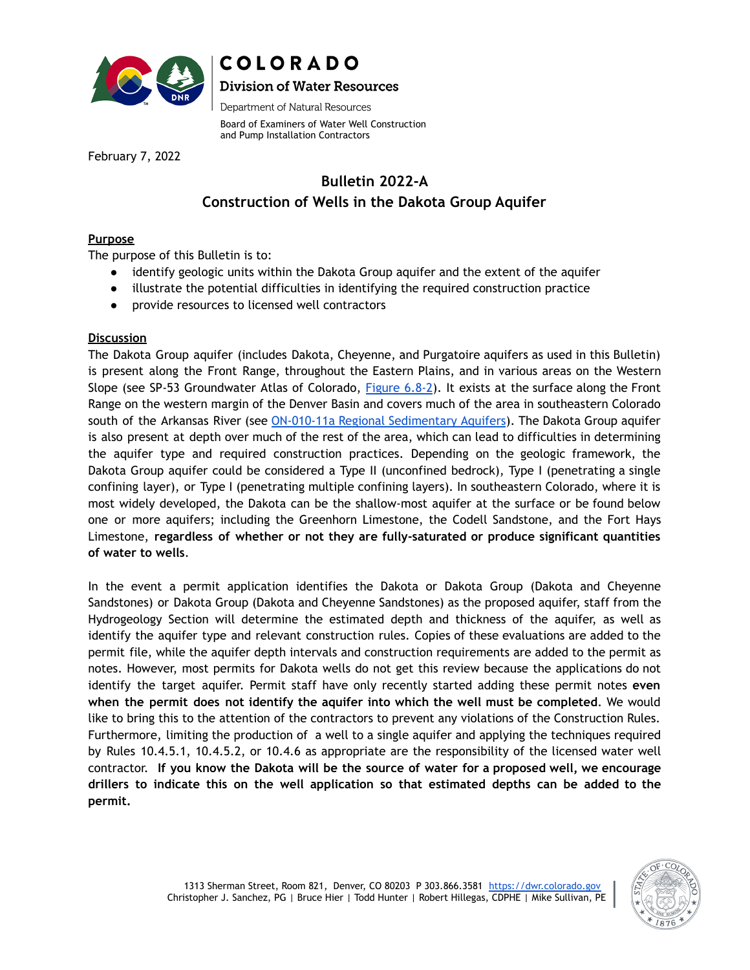

# **COLORADO Division of Water Resources**

Department of Natural Resources

Board of Examiners of Water Well Construction and Pump Installation Contractors

February 7, 2022

## **Bulletin 2022-A Construction of Wells in the Dakota Group Aquifer**

## **Purpose**

The purpose of this Bulletin is to:

- identify geologic units within the Dakota Group aquifer and the extent of the aquifer
- illustrate the potential difficulties in identifying the required construction practice
- provide resources to licensed well contractors

## **Discussion**

The Dakota Group aquifer (includes Dakota, Cheyenne, and Purgatoire aquifers as used in this Bulletin) is present along the Front Range, throughout the Eastern Plains, and in various areas on the Western Slope (see SP-53 Groundwater Atlas of Colorado,  $Figure 6.8-2$  $Figure 6.8-2$ ). It exists at the surface along the Front Range on the western margin of the Denver Basin and covers much of the area in southeastern Colorado south of the Arkansas River (see ON-010-11a Regional [Sedimentary](https://cologeosurvey.maps.arcgis.com/apps/webappviewer/index.html?id=ade090db28134b56a2dd7824ad5820da) Aquifers). The Dakota Group aquifer is also present at depth over much of the rest of the area, which can lead to difficulties in determining the aquifer type and required construction practices. Depending on the geologic framework, the Dakota Group aquifer could be considered a Type II (unconfined bedrock), Type I (penetrating a single confining layer), or Type I (penetrating multiple confining layers). In southeastern Colorado, where it is most widely developed, the Dakota can be the shallow-most aquifer at the surface or be found below one or more aquifers; including the Greenhorn Limestone, the Codell Sandstone, and the Fort Hays Limestone, **regardless of whether or not they are fully-saturated or produce significant quantities of water to wells**.

In the event a permit application identifies the Dakota or Dakota Group (Dakota and Cheyenne Sandstones) or Dakota Group (Dakota and Cheyenne Sandstones) as the proposed aquifer, staff from the Hydrogeology Section will determine the estimated depth and thickness of the aquifer, as well as identify the aquifer type and relevant construction rules. Copies of these evaluations are added to the permit file, while the aquifer depth intervals and construction requirements are added to the permit as notes. However, most permits for Dakota wells do not get this review because the applications do not identify the target aquifer. Permit staff have only recently started adding these permit notes **even when the permit does not identify the aquifer into which the well must be completed**. We would like to bring this to the attention of the contractors to prevent any violations of the Construction Rules. Furthermore, limiting the production of a well to a single aquifer and applying the techniques required by Rules 10.4.5.1, 10.4.5.2, or 10.4.6 as appropriate are the responsibility of the licensed water well contractor. **If you know the Dakota will be the source of water for a proposed well, we encourage drillers to indicate this on the well application so that estimated depths can be added to the permit.**

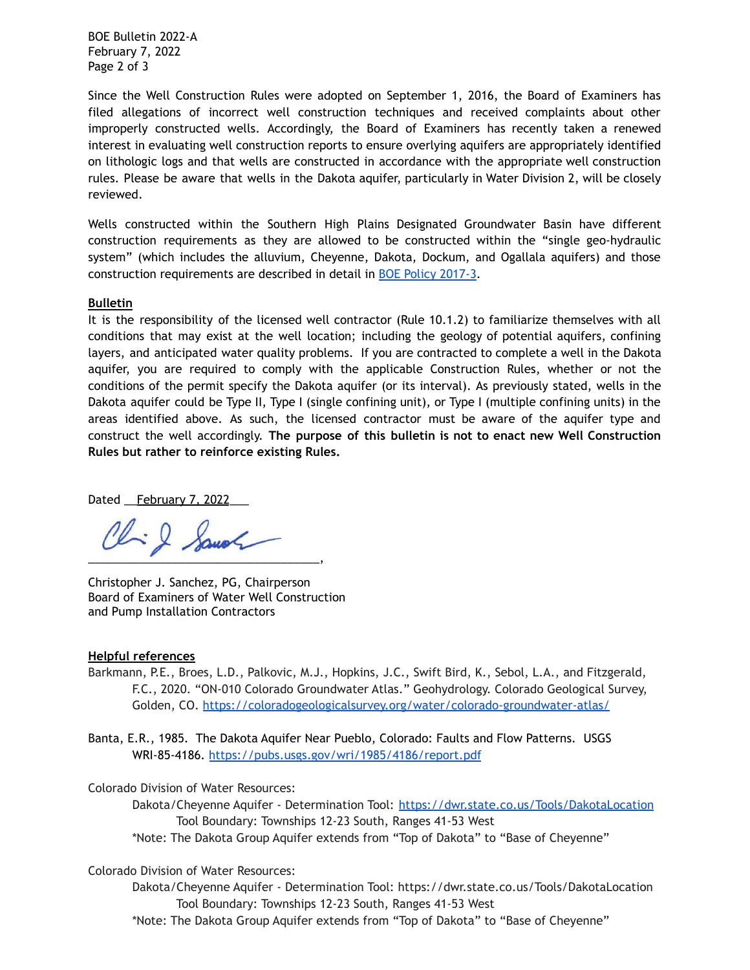BOE Bulletin 2022-A February 7, 2022 Page 2 of 3

Since the Well Construction Rules were adopted on September 1, 2016, the Board of Examiners has filed allegations of incorrect well construction techniques and received complaints about other improperly constructed wells. Accordingly, the Board of Examiners has recently taken a renewed interest in evaluating well construction reports to ensure overlying aquifers are appropriately identified on lithologic logs and that wells are constructed in accordance with the appropriate well construction rules. Please be aware that wells in the Dakota aquifer, particularly in Water Division 2, will be closely reviewed.

Wells constructed within the Southern High Plains Designated Groundwater Basin have different construction requirements as they are allowed to be constructed within the "single geo-hydraulic system" (which includes the alluvium, Cheyenne, Dakota, Dockum, and Ogallala aquifers) and those construction requirements are described in detail in [BOE Policy 2017-3](https://dnrweblink.state.co.us/dwr/ElectronicFile.aspx?docid=3629754&dbid=0).

#### **Bulletin**

It is the responsibility of the licensed well contractor (Rule 10.1.2) to familiarize themselves with all conditions that may exist at the well location; including the geology of potential aquifers, confining layers, and anticipated water quality problems. If you are contracted to complete a well in the Dakota aquifer, you are required to comply with the applicable Construction Rules, whether or not the conditions of the permit specify the Dakota aquifer (or its interval). As previously stated, wells in the Dakota aquifer could be Type II, Type I (single confining unit), or Type I (multiple confining units) in the areas identified above. As such, the licensed contractor must be aware of the aquifer type and construct the well accordingly. **The purpose of this bulletin is not to enact new Well Construction Rules but rather to reinforce existing Rules.**

Dated February 7, 2022

Chil Sanoh  $\qquad \qquad \bullet$ 

Christopher J. Sanchez, PG, Chairperson Board of Examiners of Water Well Construction and Pump Installation Contractors

#### **Helpful references**

Barkmann, P.E., Broes, L.D., Palkovic, M.J., Hopkins, J.C., Swift Bird, K., Sebol, L.A., and Fitzgerald, F.C., 2020. "ON-010 Colorado Groundwater Atlas." Geohydrology. Colorado Geological Survey, Golden, CO. <https://coloradogeologicalsurvey.org/water/colorado-groundwater-atlas/>

Banta, E.R., 1985. The Dakota Aquifer Near Pueblo, Colorado: Faults and Flow Patterns. USGS WRI-85-4186. <https://pubs.usgs.gov/wri/1985/4186/report.pdf>

Colorado Division of Water Resources:

Dakota/Cheyenne Aquifer - Determination Tool: <https://dwr.state.co.us/Tools/DakotaLocation> Tool Boundary: Townships 12-23 South, Ranges 41-53 West

\*Note: The Dakota Group Aquifer extends from "Top of Dakota" to "Base of Cheyenne"

### Colorado Division of Water Resources:

Dakota/Cheyenne Aquifer - Determination Tool: https://dwr.state.co.us/Tools/DakotaLocation Tool Boundary: Townships 12-23 South, Ranges 41-53 West

\*Note: The Dakota Group Aquifer extends from "Top of Dakota" to "Base of Cheyenne"